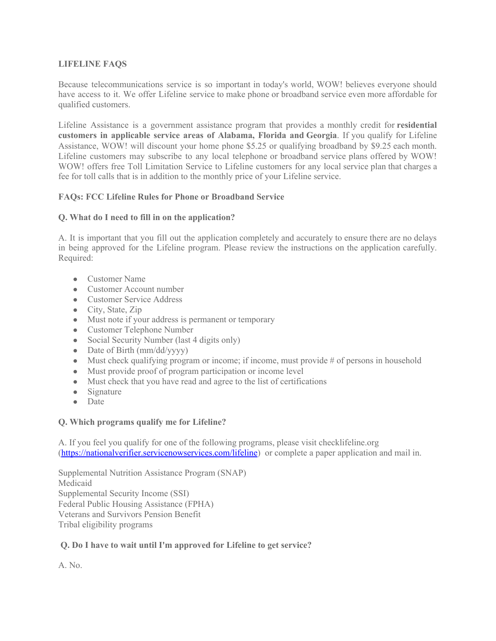## **LIFELINE FAQS**

Because telecommunications service is so important in today's world, WOW! believes everyone should have access to it. We offer Lifeline service to make phone or broadband service even more affordable for qualified customers.

Lifeline Assistance is a government assistance program that provides a monthly credit for **residential customers in applicable service areas of Alabama, Florida and Georgia**. If you qualify for Lifeline Assistance, WOW! will discount your home phone \$5.25 or qualifying broadband by \$9.25 each month. Lifeline customers may subscribe to any local telephone or broadband service plans offered by WOW! WOW! offers free Toll Limitation Service to Lifeline customers for any local service plan that charges a fee for toll calls that is in addition to the monthly price of your Lifeline service.

### **FAQs: FCC Lifeline Rules for Phone or Broadband Service**

### **Q. What do I need to fill in on the application?**

A. It is important that you fill out the application completely and accurately to ensure there are no delays in being approved for the Lifeline program. Please review the instructions on the application carefully. Required:

- Customer Name
- Customer Account number
- Customer Service Address
- City, State, Zip
- Must note if your address is permanent or temporary
- Customer Telephone Number
- Social Security Number (last 4 digits only)
- Date of Birth (mm/dd/yyyy)
- Must check qualifying program or income; if income, must provide  $#$  of persons in household
- Must provide proof of program participation or income level
- Must check that you have read and agree to the list of certifications
- Signature
- Date

### **Q. Which programs qualify me for Lifeline?**

A. If you feel you qualify for one of the following programs, please visit checklifeline.org (<https://nationalverifier.servicenowservices.com/lifeline>) or complete a paper application and mail in.

Supplemental Nutrition Assistance Program (SNAP) Medicaid Supplemental Security Income (SSI) Federal Public Housing Assistance (FPHA) Veterans and Survivors Pension Benefit Tribal eligibility programs

### **Q. Do I have to wait until I'm approved for Lifeline to get service?**

A. No.